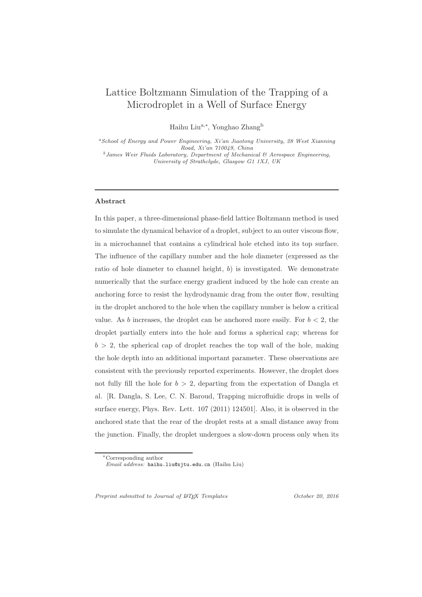# Lattice Boltzmann Simulation of the Trapping of a Microdroplet in a Well of Surface Energy

Haihu Liu<sup>a,∗</sup>, Yonghao Zhang<sup>b</sup>

<sup>a</sup>School of Energy and Power Engineering,  $Xi'$  Jiaotong University, 28 West Xianning<br>Road,  $Xi'$  an  $710049$ , China

 $^{b}$  James Weir Fluids Laboratory, Department of Mechanical & Aerospace Engineering, University of Strathclyde, Glasgow G1 1XJ, UK

# Abstract

In this paper, a three-dimensional phase-field lattice Boltzmann method is used to simulate the dynamical behavior of a droplet, subject to an outer viscous flow, in a microchannel that contains a cylindrical hole etched into its top surface. The influence of the capillary number and the hole diameter (expressed as the ratio of hole diameter to channel height, b) is investigated. We demonstrate numerically that the surface energy gradient induced by the hole can create an anchoring force to resist the hydrodynamic drag from the outer flow, resulting in the droplet anchored to the hole when the capillary number is below a critical value. As b increases, the droplet can be anchored more easily. For  $b < 2$ , the droplet partially enters into the hole and forms a spherical cap; whereas for  $b > 2$ , the spherical cap of droplet reaches the top wall of the hole, making the hole depth into an additional important parameter. These observations are consistent with the previously reported experiments. However, the droplet does not fully fill the hole for  $b > 2$ , departing from the expectation of Dangla et al. [R. Dangla, S. Lee, C. N. Baroud, Trapping microfluidic drops in wells of surface energy, Phys. Rev. Lett. 107 (2011) 124501]. Also, it is observed in the anchored state that the rear of the droplet rests at a small distance away from the junction. Finally, the droplet undergoes a slow-down process only when its

Preprint submitted to Journal of LATEX Templates  $October 20, 2016$ 

<sup>∗</sup>Corresponding author

Email address: haihu.liu@xjtu.edu.cn (Haihu Liu)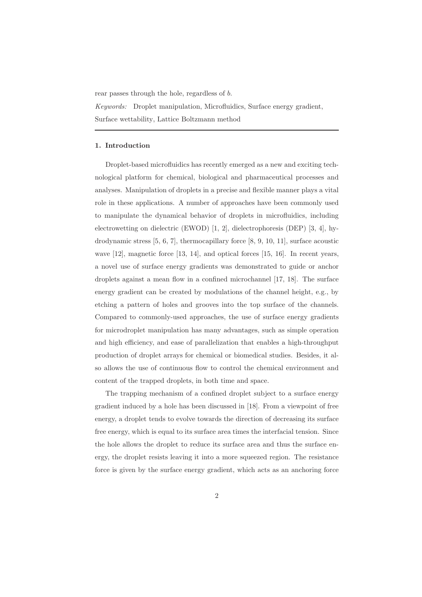rear passes through the hole, regardless of b.

Keywords: Droplet manipulation, Microfluidics, Surface energy gradient, Surface wettability, Lattice Boltzmann method

# 1. Introduction

Droplet-based microfluidics has recently emerged as a new and exciting technological platform for chemical, biological and pharmaceutical processes and analyses. Manipulation of droplets in a precise and flexible manner plays a vital role in these applications. A number of approaches have been commonly used to manipulate the dynamical behavior of droplets in microfluidics, including electrowetting on dielectric (EWOD) [1, 2], dielectrophoresis (DEP) [3, 4], hydrodynamic stress [5, 6, 7], thermocapillary force [8, 9, 10, 11], surface acoustic wave [12], magnetic force [13, 14], and optical forces [15, 16]. In recent years, a novel use of surface energy gradients was demonstrated to guide or anchor droplets against a mean flow in a confined microchannel [17, 18]. The surface energy gradient can be created by modulations of the channel height, e.g., by etching a pattern of holes and grooves into the top surface of the channels. Compared to commonly-used approaches, the use of surface energy gradients for microdroplet manipulation has many advantages, such as simple operation and high efficiency, and ease of parallelization that enables a high-throughput production of droplet arrays for chemical or biomedical studies. Besides, it also allows the use of continuous flow to control the chemical environment and content of the trapped droplets, in both time and space.

The trapping mechanism of a confined droplet subject to a surface energy gradient induced by a hole has been discussed in [18]. From a viewpoint of free energy, a droplet tends to evolve towards the direction of decreasing its surface free energy, which is equal to its surface area times the interfacial tension. Since the hole allows the droplet to reduce its surface area and thus the surface energy, the droplet resists leaving it into a more squeezed region. The resistance force is given by the surface energy gradient, which acts as an anchoring force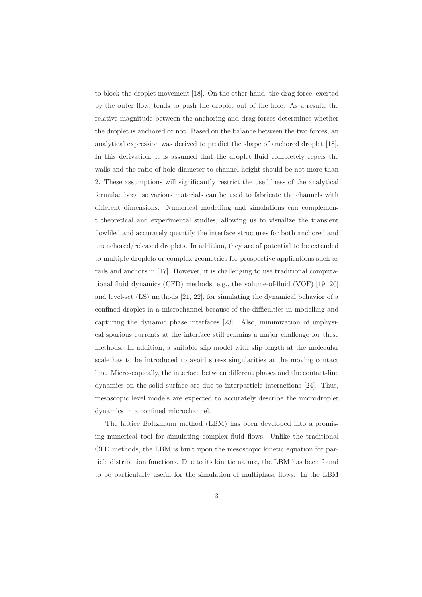to block the droplet movement [18]. On the other hand, the drag force, exerted by the outer flow, tends to push the droplet out of the hole. As a result, the relative magnitude between the anchoring and drag forces determines whether the droplet is anchored or not. Based on the balance between the two forces, an analytical expression was derived to predict the shape of anchored droplet [18]. In this derivation, it is assumed that the droplet fluid completely repels the walls and the ratio of hole diameter to channel height should be not more than 2. These assumptions will significantly restrict the usefulness of the analytical formulae because various materials can be used to fabricate the channels with different dimensions. Numerical modelling and simulations can complement theoretical and experimental studies, allowing us to visualize the transient flowfiled and accurately quantify the interface structures for both anchored and unanchored/released droplets. In addition, they are of potential to be extended to multiple droplets or complex geometries for prospective applications such as rails and anchors in [17]. However, it is challenging to use traditional computational fluid dynamics (CFD) methods, e.g., the volume-of-fluid (VOF) [19, 20] and level-set (LS) methods [21, 22], for simulating the dynamical behavior of a confined droplet in a microchannel because of the difficulties in modelling and capturing the dynamic phase interfaces [23]. Also, minimization of unphysical spurious currents at the interface still remains a major challenge for these methods. In addition, a suitable slip model with slip length at the molecular scale has to be introduced to avoid stress singularities at the moving contact line. Microscopically, the interface between different phases and the contact-line dynamics on the solid surface are due to interparticle interactions [24]. Thus, mesoscopic level models are expected to accurately describe the microdroplet dynamics in a confined microchannel.

The lattice Boltzmann method (LBM) has been developed into a promising numerical tool for simulating complex fluid flows. Unlike the traditional CFD methods, the LBM is built upon the mesoscopic kinetic equation for particle distribution functions. Due to its kinetic nature, the LBM has been found to be particularly useful for the simulation of multiphase flows. In the LBM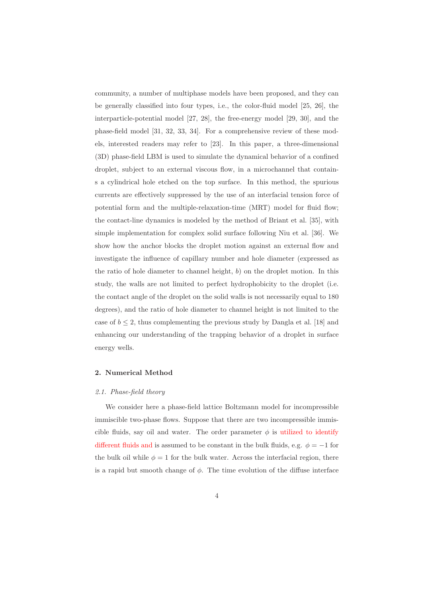community, a number of multiphase models have been proposed, and they can be generally classified into four types, i.e., the color-fluid model [25, 26], the interparticle-potential model [27, 28], the free-energy model [29, 30], and the phase-field model [31, 32, 33, 34]. For a comprehensive review of these models, interested readers may refer to [23]. In this paper, a three-dimensional (3D) phase-field LBM is used to simulate the dynamical behavior of a confined droplet, subject to an external viscous flow, in a microchannel that contains a cylindrical hole etched on the top surface. In this method, the spurious currents are effectively suppressed by the use of an interfacial tension force of potential form and the multiple-relaxation-time (MRT) model for fluid flow; the contact-line dynamics is modeled by the method of Briant et al. [35], with simple implementation for complex solid surface following Niu et al. [36]. We show how the anchor blocks the droplet motion against an external flow and investigate the influence of capillary number and hole diameter (expressed as the ratio of hole diameter to channel height,  $b$ ) on the droplet motion. In this study, the walls are not limited to perfect hydrophobicity to the droplet (i.e. the contact angle of the droplet on the solid walls is not necessarily equal to 180 degrees), and the ratio of hole diameter to channel height is not limited to the case of  $b \leq 2$ , thus complementing the previous study by Dangla et al. [18] and enhancing our understanding of the trapping behavior of a droplet in surface energy wells.

#### 2. Numerical Method

#### 2.1. Phase-field theory

We consider here a phase-field lattice Boltzmann model for incompressible immiscible two-phase flows. Suppose that there are two incompressible immiscible fluids, say oil and water. The order parameter  $\phi$  is utilized to identify different fluids and is assumed to be constant in the bulk fluids, e.g.  $\phi = -1$  for the bulk oil while  $\phi = 1$  for the bulk water. Across the interfacial region, there is a rapid but smooth change of  $\phi$ . The time evolution of the diffuse interface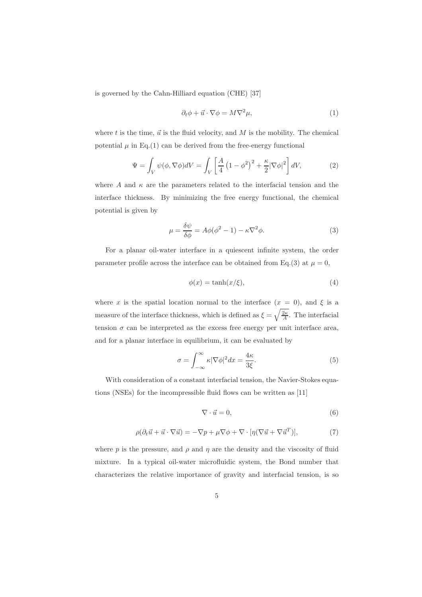is governed by the Cahn-Hilliard equation (CHE) [37]

$$
\partial_t \phi + \vec{u} \cdot \nabla \phi = M \nabla^2 \mu,\tag{1}
$$

where t is the time,  $\vec{u}$  is the fluid velocity, and M is the mobility. The chemical potential  $\mu$  in Eq.(1) can be derived from the free-energy functional

$$
\Psi = \int_{V} \psi(\phi, \nabla \phi) dV = \int_{V} \left[ \frac{A}{4} \left( 1 - \phi^2 \right)^2 + \frac{\kappa}{2} |\nabla \phi|^2 \right] dV, \tag{2}
$$

where A and  $\kappa$  are the parameters related to the interfacial tension and the interface thickness. By minimizing the free energy functional, the chemical potential is given by

$$
\mu = \frac{\delta \psi}{\delta \phi} = A\phi(\phi^2 - 1) - \kappa \nabla^2 \phi.
$$
 (3)

For a planar oil-water interface in a quiescent infinite system, the order parameter profile across the interface can be obtained from Eq.(3) at  $\mu = 0$ ,

$$
\phi(x) = \tanh(x/\xi),\tag{4}
$$

where x is the spatial location normal to the interface  $(x = 0)$ , and  $\xi$  is a measure of the interface thickness, which is defined as  $\xi = \sqrt{\frac{2\kappa}{A}}$ . The interfacial tension  $\sigma$  can be interpreted as the excess free energy per unit interface area, and for a planar interface in equilibrium, it can be evaluated by

$$
\sigma = \int_{-\infty}^{\infty} \kappa |\nabla \phi|^2 dx = \frac{4\kappa}{3\xi}.
$$
 (5)

With consideration of a constant interfacial tension, the Navier-Stokes equations (NSEs) for the incompressible fluid flows can be written as [11]

$$
\nabla \cdot \vec{u} = 0,\tag{6}
$$

$$
\rho(\partial_t \vec{u} + \vec{u} \cdot \nabla \vec{u}) = -\nabla p + \mu \nabla \phi + \nabla \cdot [\eta(\nabla \vec{u} + \nabla \vec{u}^T)],\tag{7}
$$

where p is the pressure, and  $\rho$  and  $\eta$  are the density and the viscosity of fluid mixture. In a typical oil-water microfluidic system, the Bond number that characterizes the relative importance of gravity and interfacial tension, is so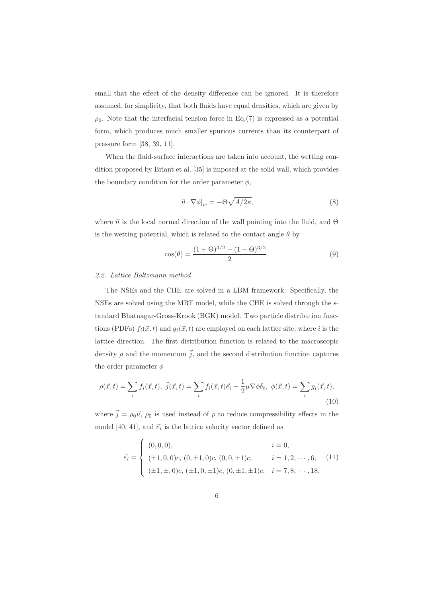small that the effect of the density difference can be ignored. It is therefore assumed, for simplicity, that both fluids have equal densities, which are given by  $\rho_0$ . Note that the interfacial tension force in Eq.(7) is expressed as a potential form, which produces much smaller spurious currents than its counterpart of pressure form [38, 39, 11].

When the fluid-surface interactions are taken into account, the wetting condition proposed by Briant et al. [35] is imposed at the solid wall, which provides the boundary condition for the order parameter  $\phi$ ,

$$
\vec{n} \cdot \nabla \phi|_w = -\Theta \sqrt{A/2\kappa},\tag{8}
$$

where  $\vec{n}$  is the local normal direction of the wall pointing into the fluid, and  $\Theta$ is the wetting potential, which is related to the contact angle  $\theta$  by

$$
\cos(\theta) = \frac{(1+\Theta)^{3/2} - (1-\Theta)^{3/2}}{2}.
$$
\n(9)

#### 2.2. Lattice Boltzmann method

The NSEs and the CHE are solved in a LBM framework. Specifically, the NSEs are solved using the MRT model, while the CHE is solved through the standard Bhatnagar-Gross-Krook (BGK) model. Two particle distribution functions (PDFs)  $f_i(\vec{x}, t)$  and  $g_i(\vec{x}, t)$  are employed on each lattice site, where i is the lattice direction. The first distribution function is related to the macroscopic density  $\rho$  and the momentum  $\vec{j}$ , and the second distribution function captures the order parameter  $\phi$ 

$$
\rho(\vec{x},t) = \sum_{i} f_i(\vec{x},t), \ \vec{j}(\vec{x},t) = \sum_{i} f_i(\vec{x},t)\vec{e}_i + \frac{1}{2}\mu \nabla \phi \delta_t, \ \phi(\vec{x},t) = \sum_{i} g_i(\vec{x},t), \tag{10}
$$

where  $\vec{j} = \rho_0 \vec{u}$ ,  $\rho_0$  is used instead of  $\rho$  to reduce compressibility effects in the model [40, 41], and  $\vec{e}_i$  is the lattice velocity vector defined as

$$
\vec{e}_i = \begin{cases}\n(0,0,0), & i = 0, \\
(\pm 1, 0, 0)c, (0, \pm 1, 0)c, (0, 0, \pm 1)c, & i = 1, 2, \dots, 6, \\
(\pm 1, \pm, 0)c, (\pm 1, 0, \pm 1)c, (0, \pm 1, \pm 1)c, & i = 7, 8, \dots, 18,\n\end{cases}
$$
\n(11)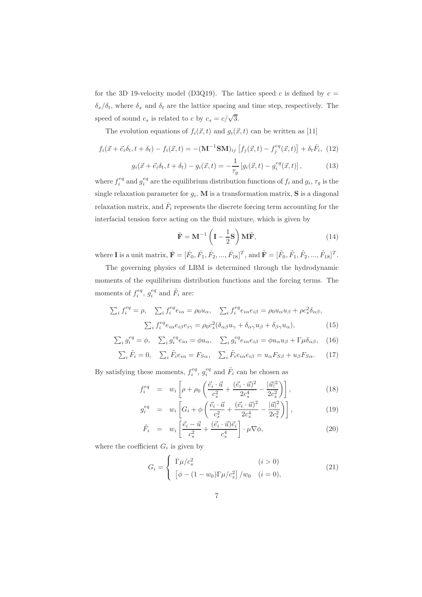for the 3D 19-velocity model (D3Q19). The lattice speed c is defined by  $c =$  $\delta_x/\delta_t$ , where  $\delta_x$  and  $\delta_t$  are the lattice spacing and time step, respectively. The speed of sound  $c_s$  is related to c by  $c_s = c/\sqrt{3}$ .

The evolution equations of  $f_i(\vec{x}, t)$  and  $g_i(\vec{x}, t)$  can be written as [11]

$$
f_i(\vec{x} + \vec{e_i}\delta_t, t + \delta_t) - f_i(\vec{x}, t) = -(\mathbf{M}^{-1}\mathbf{S}\mathbf{M})_{ij} \left[ f_j(\vec{x}, t) - f_j^{eq}(\vec{x}, t) \right] + \delta_t \bar{F}_i, (12)
$$

$$
g_i(\vec{x} + \vec{e}_i \delta_t, t + \delta_t) - g_i(\vec{x}, t) = -\frac{1}{\tau_g} \left[ g_i(\vec{x}, t) - g_i^{eq}(\vec{x}, t) \right],
$$
 (13)

where  $f_i^{eq}$  and  $g_i^{eq}$  are the equilibrium distribution functions of  $f_i$  and  $g_i$ ,  $\tau_g$  is the single relaxation parameter for  $g_i$ , **M** is a transformation matrix, **S** is a diagonal relaxation matrix, and  $\bar{F}_i$  represents the discrete forcing term accounting for the interfacial tension force acting on the fluid mixture, which is given by

$$
\bar{\mathbf{F}} = \mathbf{M}^{-1} \left( \mathbf{I} - \frac{1}{2} \mathbf{S} \right) \mathbf{M} \tilde{\mathbf{F}}, \tag{14}
$$

where **I** is a unit matrix,  $\bar{\mathbf{F}} = [\bar{F}_0, \bar{F}_1, \bar{F}_2, ..., \bar{F}_{18}]^T$ , and  $\tilde{\mathbf{F}} = [\tilde{F}_0, \tilde{F}_1, \tilde{F}_2, ..., \tilde{F}_{18}]^T$ .

The governing physics of LBM is determined through the hydrodynamic moments of the equilibrium distribution functions and the forcing terms. The moments of  $f_i^{eq}$ ,  $g_i^{eq}$  and  $\tilde{F}_i$  are:

$$
\sum_{i} f_{i}^{eq} = \rho, \quad \sum_{i} f_{i}^{eq} e_{i\alpha} = \rho_{0} u_{\alpha}, \quad \sum_{i} f_{i}^{eq} e_{i\alpha} e_{i\beta} = \rho_{0} u_{\alpha} u_{\beta} + \rho c_{s}^{2} \delta_{\alpha\beta},
$$
\n
$$
\sum_{i} f_{i}^{eq} e_{i\alpha} e_{i\beta} e_{i\gamma} = \rho_{0} c_{s}^{2} (\delta_{\alpha\beta} u_{\gamma} + \delta_{\alpha\gamma} u_{\beta} + \delta_{\beta\gamma} u_{\alpha}), \tag{15}
$$

$$
\sum_{i} g_i^{eq} = \phi, \quad \sum_{i} g_i^{eq} e_{i\alpha} = \phi u_{\alpha}, \quad \sum_{i} g_i^{eq} e_{i\alpha} e_{i\beta} = \phi u_{\alpha} u_{\beta} + \Gamma \mu \delta_{\alpha \beta}, \quad (16)
$$

$$
\sum_{i} \tilde{F}_i = 0, \quad \sum_{i} \tilde{F}_i e_{i\alpha} = F_{S\alpha}, \quad \sum_{i} \tilde{F}_i e_{i\alpha} e_{i\beta} = u_{\alpha} F_{S\beta} + u_{\beta} F_{S\alpha}.
$$
 (17)

By satisfying these moments,  $f_i^{eq}$ ,  $g_i^{eq}$  and  $\tilde{F}_i$  can be chosen as

$$
f_i^{eq} = w_i \left[ \rho + \rho_0 \left( \frac{\vec{e}_i \cdot \vec{u}}{c_s^2} + \frac{(\vec{e}_i \cdot \vec{u})^2}{2c_s^4} - \frac{|\vec{u}|^2}{2c_s^2} \right) \right],
$$
 (18)

$$
g_i^{eq} = w_i \left[ G_i + \phi \left( \frac{\vec{e_i} \cdot \vec{u}}{c_s^2} + \frac{(\vec{e_i} \cdot \vec{u})^2}{2c_s^4} - \frac{|\vec{u}|^2}{2c_s^2} \right) \right],
$$
(19)

$$
\tilde{F}_i = w_i \left[ \frac{\vec{e}_i - \vec{u}}{c_s^2} + \frac{(\vec{e}_i \cdot \vec{u}) \vec{e}_i}{c_s^4} \right] \cdot \mu \nabla \phi, \tag{20}
$$

where the coefficient  $G_i$  is given by

$$
G_i = \begin{cases} \Gamma \mu / c_s^2 & (i > 0) \\ \left[ \phi - (1 - w_0) \Gamma \mu / c_s^2 \right] / w_0 & (i = 0), \end{cases}
$$
(21)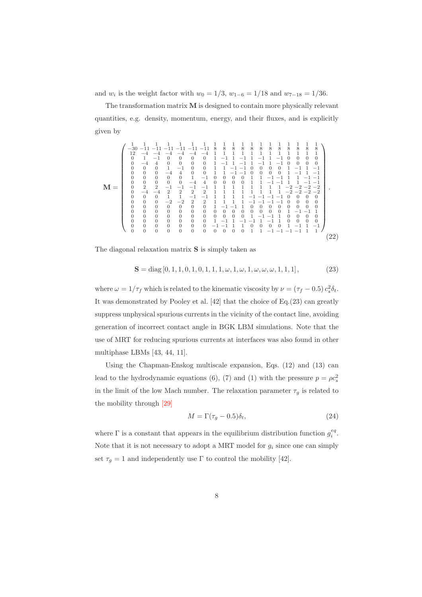and  $w_i$  is the weight factor with  $w_0 = 1/3$ ,  $w_{1-6} = 1/18$  and  $w_{7-18} = 1/36$ .

The transformation matrix  $M$  is designed to contain more physically relevant quantities, e.g. density, momentum, energy, and their fluxes, and is explicitly given by

M = ⎛ ⎜⎜⎜⎜⎜⎜⎜⎜⎜⎜⎜⎜⎜⎜⎜⎝ 1 1 1 1 1 1 1 111111111111 −30 −11 −11 −11 −11 −11 −11 8 8 8 8 8 8 8 8 8 8 8 8 12 −4 −4 −4 −4 −4 −41 1 1 1 1 1 1 1 1 1 1 1 0 1 −10 0 0 0 1 −1 1 −1 1 −1 1 −10 0 0 0 0 −44 0 0 0 0 1 −1 1 −1 1 −1 1 −10 0 0 0 0001 −1 0 0 11 −1 −10 0 0 0 1 −1 1 −1 000 −4 4 0 0 11 −1 −10 0 0 0 1 −1 1 −1 000001 −10 0 0 0 1 1 −1 −11 1 −1 −1 00000 −4 4 000011 −1 −11 1 −1 −1 022 −1 −1 −1 −11 1 1 1 1 1 1 1 −2 −2 −2 −2 0 −4 −4 2 2 2 2 11111111 −2 −2 −2 −2 00011 −1 −11 1 1 1 −1 −1 −1 −10 0 0 0 000 −2 −2 2 2 1111 −1 −1 −1 −10 0 0 0 0 0 0 0 0 0 01 −1 −11 0 0 0 0 0 0 0 0 0 0 0 0 0 0 0 000000001 −1 −1 1 0 0 0 0 0 0 0 00001 −1 −11 0 0 0 0 0 0 0 0 0 0 01 −1 1 −1 −1 1 −11 0 0 0 0 0000000 −1 −11 1 0 0 0 0 1 −1 1 −1 0 0 0 0 0 0 0 000011 −1 −1 −1 −11 1 ⎞ ⎟⎟⎟⎟⎟⎟⎟⎟⎟⎟⎟⎟⎟⎟⎟⎠ . (22)

The diagonal relaxation matrix S is simply taken as

$$
\mathbf{S} = \text{diag}\left[0, 1, 1, 0, 1, 0, 1, 1, 1, \omega, 1, \omega, 1, \omega, \omega, \omega, 1, 1, 1\right],\tag{23}
$$

where  $\omega = 1/\tau_f$  which is related to the kinematic viscosity by  $\nu = (\tau_f - 0.5) c_s^2 \delta_t$ . It was demonstrated by Pooley et al. [42] that the choice of Eq.(23) can greatly suppress unphysical spurious currents in the vicinity of the contact line, avoiding generation of incorrect contact angle in BGK LBM simulations. Note that the use of MRT for reducing spurious currents at interfaces was also found in other multiphase LBMs [43, 44, 11].

Using the Chapman-Enskog multiscale expansion, Eqs. (12) and (13) can lead to the hydrodynamic equations (6), (7) and (1) with the pressure  $p = \rho c_s^2$ in the limit of the low Mach number. The relaxation parameter  $\tau_g$  is related to the mobility through [29]

$$
M = \Gamma(\tau_g - 0.5)\delta_t,\tag{24}
$$

where  $\Gamma$  is a constant that appears in the equilibrium distribution function  $g_i^{eq}$ . Note that it is not necessary to adopt a MRT model for  $g_i$  since one can simply set  $\tau_g = 1$  and independently use  $\Gamma$  to control the mobility [42].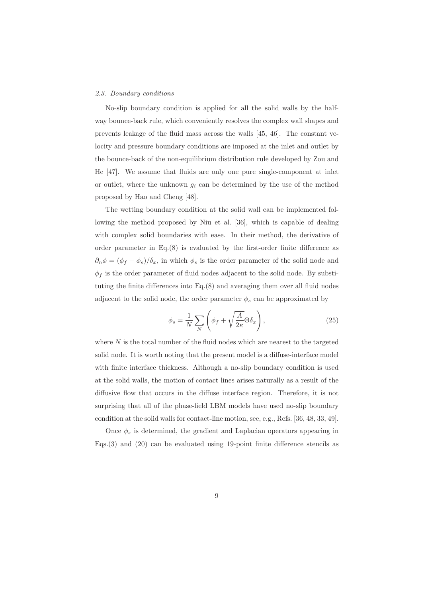# 2.3. Boundary conditions

No-slip boundary condition is applied for all the solid walls by the halfway bounce-back rule, which conveniently resolves the complex wall shapes and prevents leakage of the fluid mass across the walls [45, 46]. The constant velocity and pressure boundary conditions are imposed at the inlet and outlet by the bounce-back of the non-equilibrium distribution rule developed by Zou and He [47]. We assume that fluids are only one pure single-component at inlet or outlet, where the unknown  $g_i$  can be determined by the use of the method proposed by Hao and Cheng [48].

The wetting boundary condition at the solid wall can be implemented following the method proposed by Niu et al. [36], which is capable of dealing with complex solid boundaries with ease. In their method, the derivative of order parameter in Eq.(8) is evaluated by the first-order finite difference as  $\partial_n \phi = (\phi_f - \phi_s)/\delta_x$ , in which  $\phi_s$  is the order parameter of the solid node and  $\phi_f$  is the order parameter of fluid nodes adjacent to the solid node. By substituting the finite differences into Eq.(8) and averaging them over all fluid nodes adjacent to the solid node, the order parameter  $\phi_s$  can be approximated by

$$
\phi_s = \frac{1}{N} \sum_N \left( \phi_f + \sqrt{\frac{A}{2\kappa}} \Theta \delta_x \right),\tag{25}
$$

where  $N$  is the total number of the fluid nodes which are nearest to the targeted solid node. It is worth noting that the present model is a diffuse-interface model with finite interface thickness. Although a no-slip boundary condition is used at the solid walls, the motion of contact lines arises naturally as a result of the diffusive flow that occurs in the diffuse interface region. Therefore, it is not surprising that all of the phase-field LBM models have used no-slip boundary condition at the solid walls for contact-line motion, see, e.g., Refs. [36, 48, 33, 49].

Once  $\phi_s$  is determined, the gradient and Laplacian operators appearing in Eqs.(3) and (20) can be evaluated using 19-point finite difference stencils as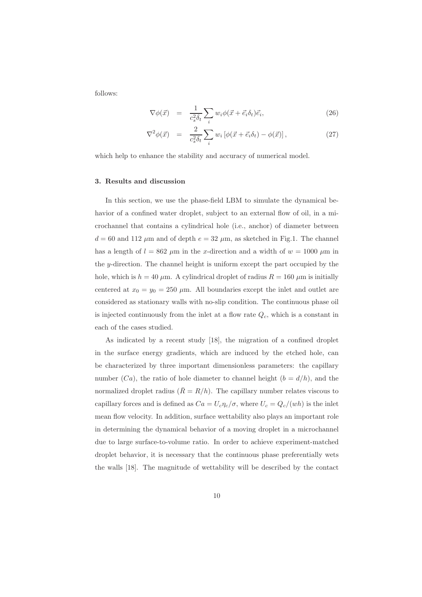follows:

$$
\nabla \phi(\vec{x}) = \frac{1}{c_s^2 \delta_t} \sum_i w_i \phi(\vec{x} + \vec{e}_i \delta_t) \vec{e}_i, \qquad (26)
$$

$$
\nabla^2 \phi(\vec{x}) = \frac{2}{c_s^2 \delta_t} \sum_i w_i \left[ \phi(\vec{x} + \vec{e}_i \delta_t) - \phi(\vec{x}) \right], \tag{27}
$$

which help to enhance the stability and accuracy of numerical model.

# 3. Results and discussion

In this section, we use the phase-field LBM to simulate the dynamical behavior of a confined water droplet, subject to an external flow of oil, in a microchannel that contains a cylindrical hole (i.e., anchor) of diameter between  $d = 60$  and 112  $\mu$ m and of depth  $e = 32 \mu$ m, as sketched in Fig.1. The channel has a length of  $l = 862 \mu m$  in the x-direction and a width of  $w = 1000 \mu m$  in the y-direction. The channel height is uniform except the part occupied by the hole, which is  $h = 40 \mu$ m. A cylindrical droplet of radius  $R = 160 \mu$ m is initially centered at  $x_0 = y_0 = 250 \mu m$ . All boundaries except the inlet and outlet are considered as stationary walls with no-slip condition. The continuous phase oil is injected continuously from the inlet at a flow rate  $Q_c$ , which is a constant in each of the cases studied.

As indicated by a recent study [18], the migration of a confined droplet in the surface energy gradients, which are induced by the etched hole, can be characterized by three important dimensionless parameters: the capillary number  $(Ca)$ , the ratio of hole diameter to channel height  $(b = d/h)$ , and the normalized droplet radius  $(\bar{R} = R/h)$ . The capillary number relates viscous to capillary forces and is defined as  $Ca = U_c \eta_c / \sigma$ , where  $U_c = Q_c / (wh)$  is the inlet mean flow velocity. In addition, surface wettability also plays an important role in determining the dynamical behavior of a moving droplet in a microchannel due to large surface-to-volume ratio. In order to achieve experiment-matched droplet behavior, it is necessary that the continuous phase preferentially wets the walls [18]. The magnitude of wettability will be described by the contact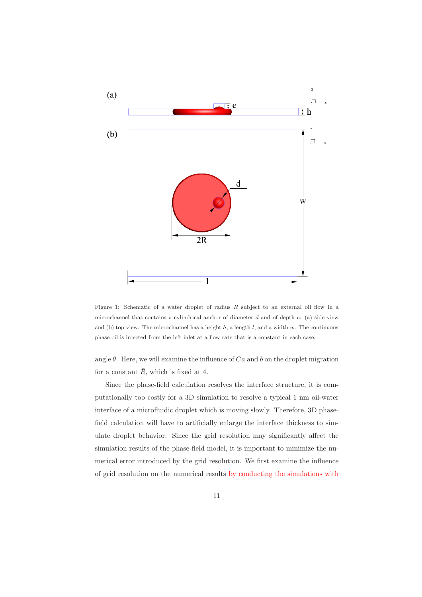

Figure 1: Schematic of a water droplet of radius  $R$  subject to an external oil flow in a microchannel that contains a cylindrical anchor of diameter  $d$  and of depth  $e$ : (a) side view and (b) top view. The microchannel has a height  $h$ , a length  $l$ , and a width  $w$ . The continuous phase oil is injected from the left inlet at a flow rate that is a constant in each case.

angle  $\theta$ . Here, we will examine the influence of  $Ca$  and b on the droplet migration for a constant  $\bar{R}$ , which is fixed at 4.

Since the phase-field calculation resolves the interface structure, it is computationally too costly for a 3D simulation to resolve a typical 1 nm oil-water interface of a microfluidic droplet which is moving slowly. Therefore, 3D phasefield calculation will have to artificially enlarge the interface thickness to simulate droplet behavior. Since the grid resolution may significantly affect the simulation results of the phase-field model, it is important to minimize the numerical error introduced by the grid resolution. We first examine the influence of grid resolution on the numerical results by conducting the simulations with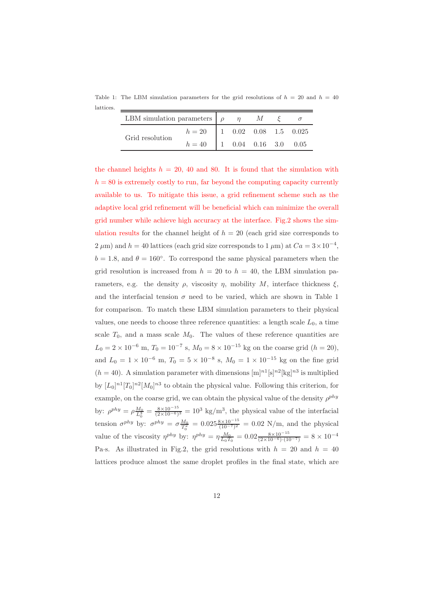Table 1: The LBM simulation parameters for the grid resolutions of  $h = 20$  and  $h = 40$ lattices. ś,

| LBM simulation parameters $\rho$ $\eta$ |        |                                    | $M_{\odot}$ |                                     |
|-----------------------------------------|--------|------------------------------------|-------------|-------------------------------------|
| Grid resolution                         | $h=20$ |                                    |             | $1 \t 0.02 \t 0.08 \t 1.5 \t 0.025$ |
|                                         | $h=40$ | $1 \t 0.04 \t 0.16 \t 3.0 \t 0.05$ |             |                                     |

the channel heights  $h = 20, 40$  and 80. It is found that the simulation with  $h = 80$  is extremely costly to run, far beyond the computing capacity currently available to us. To mitigate this issue, a grid refinement scheme such as the adaptive local grid refinement will be beneficial which can minimize the overall grid number while achieve high accuracy at the interface. Fig.2 shows the simulation results for the channel height of  $h = 20$  (each grid size corresponds to 2  $\mu$ m) and  $h = 40$  lattices (each grid size corresponds to 1  $\mu$ m) at  $Ca = 3 \times 10^{-4}$ ,  $b = 1.8$ , and  $\theta = 160^{\circ}$ . To correspond the same physical parameters when the grid resolution is increased from  $h = 20$  to  $h = 40$ , the LBM simulation parameters, e.g. the density  $\rho$ , viscosity  $\eta$ , mobility M, interface thickness  $\xi$ , and the interfacial tension  $\sigma$  need to be varied, which are shown in Table 1 for comparison. To match these LBM simulation parameters to their physical values, one needs to choose three reference quantities: a length scale  $L_0$ , a time scale  $T_0$ , and a mass scale  $M_0$ . The values of these reference quantities are  $L_0 = 2 \times 10^{-6}$  m,  $T_0 = 10^{-7}$  s,  $M_0 = 8 \times 10^{-15}$  kg on the coarse grid  $(h = 20)$ , and  $L_0 = 1 \times 10^{-6}$  m,  $T_0 = 5 \times 10^{-8}$  s,  $M_0 = 1 \times 10^{-15}$  kg on the fine grid  $(h = 40)$ . A simulation parameter with dimensions  $[m]^{n_1}[s]^{n_2}[kg]^{n_3}$  is multiplied by  $[L_0]^{n} [T_0]^{n} [M_0]^{n}$  to obtain the physical value. Following this criterion, for example, on the coarse grid, we can obtain the physical value of the density  $\rho^{phy}$ by:  $\rho^{phy} = \rho \frac{M_0}{L_0^3} = \frac{8 \times 10^{-15}}{(2 \times 10^{-6})^3} = 10^3 \text{ kg/m}^3$ , the physical value of the interfacial tension  $\sigma^{phy}$  by:  $\sigma^{phy} = \sigma \frac{M_0}{T_0^2} = 0.025 \frac{8 \times 10^{-15}}{(10^{-7})^2} = 0.02$  N/m, and the physical value of the viscosity  $\eta^{phy}$  by:  $\eta^{phy} = \eta \frac{M_0}{L_0 T_0} = 0.02 \frac{8 \times 10^{-15}}{(2 \times 10^{-6}) \cdot (10^{-7})} = 8 \times 10^{-4}$ Pa·s. As illustrated in Fig.2, the grid resolutions with  $h = 20$  and  $h = 40$ lattices produce almost the same droplet profiles in the final state, which are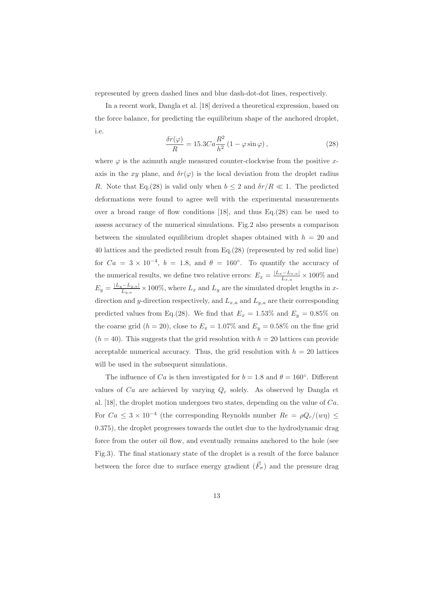represented by green dashed lines and blue dash-dot-dot lines, respectively.

In a recent work, Dangla et al. [18] derived a theoretical expression, based on the force balance, for predicting the equilibrium shape of the anchored droplet, i.e.

$$
\frac{\delta r(\varphi)}{R} = 15.3 Ca \frac{R^2}{h^2} \left( 1 - \varphi \sin \varphi \right),\tag{28}
$$

where  $\varphi$  is the azimuth angle measured counter-clockwise from the positive xaxis in the xy plane, and  $\delta r(\varphi)$  is the local deviation from the droplet radius R. Note that Eq.(28) is valid only when  $b \leq 2$  and  $\delta r/R \ll 1$ . The predicted deformations were found to agree well with the experimental measurements over a broad range of flow conditions  $[18]$ , and thus Eq.(28) can be used to assess accuracy of the numerical simulations. Fig.2 also presents a comparison between the simulated equilibrium droplet shapes obtained with  $h = 20$  and 40 lattices and the predicted result from Eq.(28) (represented by red solid line) for  $Ca = 3 \times 10^{-4}$ ,  $b = 1.8$ , and  $\theta = 160^{\circ}$ . To quantify the accuracy of the numerical results, we define two relative errors:  $E_x = \frac{|L_x - L_{x,a}|}{L_{x,a}} \times 100\%$  and  $E_y = \frac{|L_y - L_{y,a}|}{L_{y,a}} \times 100\%$ , where  $L_x$  and  $L_y$  are the simulated droplet lengths in xdirection and y-direction respectively, and  $L_{x,a}$  and  $L_{y,a}$  are their corresponding predicted values from Eq.(28). We find that  $E_x = 1.53\%$  and  $E_y = 0.85\%$  on the coarse grid  $(h = 20)$ , close to  $E_x = 1.07\%$  and  $E_y = 0.58\%$  on the fine grid  $(h = 40)$ . This suggests that the grid resolution with  $h = 20$  lattices can provide acceptable numerical accuracy. Thus, the grid resolution with  $h = 20$  lattices will be used in the subsequent simulations.

The influence of Ca is then investigated for  $b = 1.8$  and  $\theta = 160^{\circ}$ . Different values of  $Ca$  are achieved by varying  $Q_c$  solely. As observed by Dangla et al. [18], the droplet motion undergoes two states, depending on the value of Ca. For  $Ca \leq 3 \times 10^{-4}$  (the corresponding Reynolds number  $Re = \rho Q_c/(w\eta) \leq$ 0.375), the droplet progresses towards the outlet due to the hydrodynamic drag force from the outer oil flow, and eventually remains anchored to the hole (see Fig.3). The final stationary state of the droplet is a result of the force balance between the force due to surface energy gradient  $(\vec{F}_{\sigma})$  and the pressure drag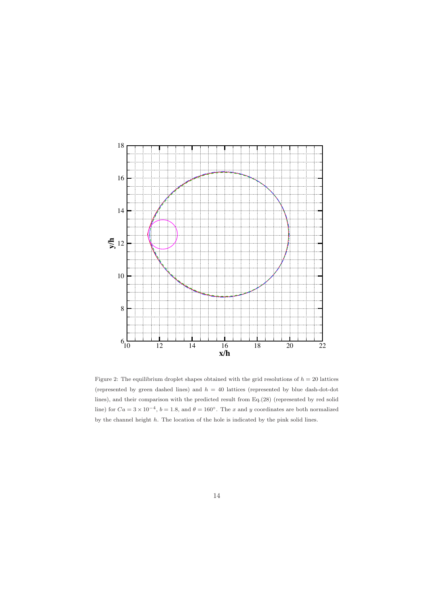

Figure 2: The equilibrium droplet shapes obtained with the grid resolutions of  $h = 20$  lattices (represented by green dashed lines) and  $h = 40$  lattices (represented by blue dash-dot-dot lines), and their comparison with the predicted result from Eq.(28) (represented by red solid line) for  $Ca = 3 \times 10^{-4}$ ,  $b = 1.8$ , and  $\theta = 160^{\circ}$ . The x and y coordinates are both normalized by the channel height h. The location of the hole is indicated by the pink solid lines.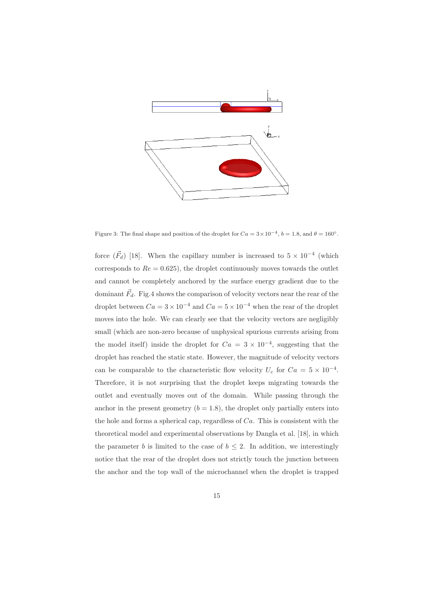

Figure 3: The final shape and position of the droplet for  $Ca = 3 \times 10^{-4}$ ,  $b = 1.8$ , and  $\theta = 160^{\circ}$ .

force  $(\vec{F}_d)$  [18]. When the capillary number is increased to  $5 \times 10^{-4}$  (which corresponds to  $Re = 0.625$ , the droplet continuously moves towards the outlet and cannot be completely anchored by the surface energy gradient due to the dominant  $\vec{F}_d$ . Fig.4 shows the comparison of velocity vectors near the rear of the droplet between  $Ca = 3 \times 10^{-4}$  and  $Ca = 5 \times 10^{-4}$  when the rear of the droplet moves into the hole. We can clearly see that the velocity vectors are negligibly small (which are non-zero because of unphysical spurious currents arising from the model itself) inside the droplet for  $Ca = 3 \times 10^{-4}$ , suggesting that the droplet has reached the static state. However, the magnitude of velocity vectors can be comparable to the characteristic flow velocity  $U_c$  for  $Ca = 5 \times 10^{-4}$ . Therefore, it is not surprising that the droplet keeps migrating towards the outlet and eventually moves out of the domain. While passing through the anchor in the present geometry  $(b = 1.8)$ , the droplet only partially enters into the hole and forms a spherical cap, regardless of  $Ca$ . This is consistent with the theoretical model and experimental observations by Dangla et al. [18], in which the parameter b is limited to the case of  $b \leq 2$ . In addition, we interestingly notice that the rear of the droplet does not strictly touch the junction between the anchor and the top wall of the microchannel when the droplet is trapped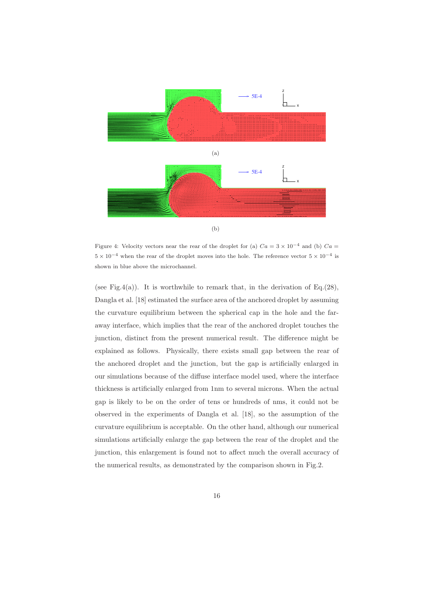

Figure 4: Velocity vectors near the rear of the droplet for (a)  $Ca = 3 \times 10^{-4}$  and (b)  $Ca =$  $5 \times 10^{-4}$  when the rear of the droplet moves into the hole. The reference vector  $5 \times 10^{-4}$  is shown in blue above the microchannel.

(see Fig.4(a)). It is worthwhile to remark that, in the derivation of  $Eq.(28)$ , Dangla et al. [18] estimated the surface area of the anchored droplet by assuming the curvature equilibrium between the spherical cap in the hole and the faraway interface, which implies that the rear of the anchored droplet touches the junction, distinct from the present numerical result. The difference might be explained as follows. Physically, there exists small gap between the rear of the anchored droplet and the junction, but the gap is artificially enlarged in our simulations because of the diffuse interface model used, where the interface thickness is artificially enlarged from 1nm to several microns. When the actual gap is likely to be on the order of tens or hundreds of nms, it could not be observed in the experiments of Dangla et al. [18], so the assumption of the curvature equilibrium is acceptable. On the other hand, although our numerical simulations artificially enlarge the gap between the rear of the droplet and the junction, this enlargement is found not to affect much the overall accuracy of the numerical results, as demonstrated by the comparison shown in Fig.2.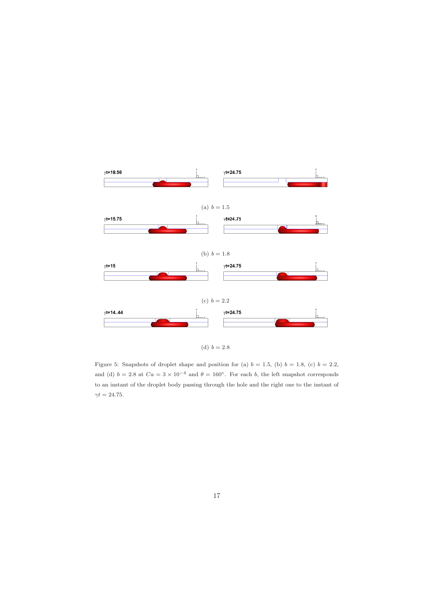

Figure 5: Snapshots of droplet shape and position for (a)  $b = 1.5$ , (b)  $b = 1.8$ , (c)  $b = 2.2$ , and (d)  $b = 2.8$  at  $Ca = 3 \times 10^{-4}$  and  $\theta = 160^{\circ}$ . For each b, the left snapshot corresponds to an instant of the droplet body passing through the hole and the right one to the instant of  $\gamma t = 24.75.$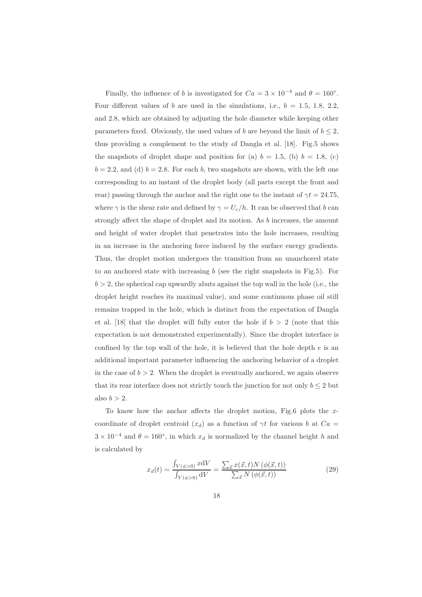Finally, the influence of b is investigated for  $Ca = 3 \times 10^{-4}$  and  $\theta = 160°$ . Four different values of b are used in the simulations, i.e.,  $b = 1.5, 1.8, 2.2$ . and 2.8, which are obtained by adjusting the hole diameter while keeping other parameters fixed. Obviously, the used values of b are beyond the limit of  $b \leq 2$ , thus providing a complement to the study of Dangla et al. [18]. Fig.5 shows the snapshots of droplet shape and position for (a)  $b = 1.5$ , (b)  $b = 1.8$ , (c)  $b = 2.2$ , and (d)  $b = 2.8$ . For each b, two snapshots are shown, with the left one corresponding to an instant of the droplet body (all parts except the front and rear) passing through the anchor and the right one to the instant of  $\gamma t = 24.75$ , where  $\gamma$  is the shear rate and defined by  $\gamma = U_c/h$ . It can be observed that b can strongly affect the shape of droplet and its motion. As b increases, the amount and height of water droplet that penetrates into the hole increases, resulting in an increase in the anchoring force induced by the surface energy gradients. Thus, the droplet motion undergoes the transition from an unanchored state to an anchored state with increasing  $b$  (see the right snapshots in Fig.5). For  $b > 2$ , the spherical cap upwardly abuts against the top wall in the hole (i.e., the droplet height reaches its maximal value), and some continuous phase oil still remains trapped in the hole, which is distinct from the expectation of Dangla et al. [18] that the droplet will fully enter the hole if  $b > 2$  (note that this expectation is not demonstrated experimentally). Since the droplet interface is confined by the top wall of the hole, it is believed that the hole depth e is an additional important parameter influencing the anchoring behavior of a droplet in the case of  $b > 2$ . When the droplet is eventually anchored, we again observe that its rear interface does not strictly touch the junction for not only  $b \leq 2$  but also  $b > 2$ .

To know how the anchor affects the droplet motion, Fig.6 plots the  $x$ coordinate of droplet centroid  $(x_d)$  as a function of  $\gamma t$  for various b at  $Ca =$  $3 \times 10^{-4}$  and  $\theta = 160^{\circ}$ , in which  $x_d$  is normalized by the channel height h and is calculated by

$$
x_d(t) = \frac{\int_{V(\phi>0)} x dV}{\int_{V(\phi>0)} dV} = \frac{\sum_{\vec{x}} x(\vec{x}, t) N(\phi(\vec{x}, t))}{\sum_{\vec{x}} N(\phi(\vec{x}, t))}
$$
(29)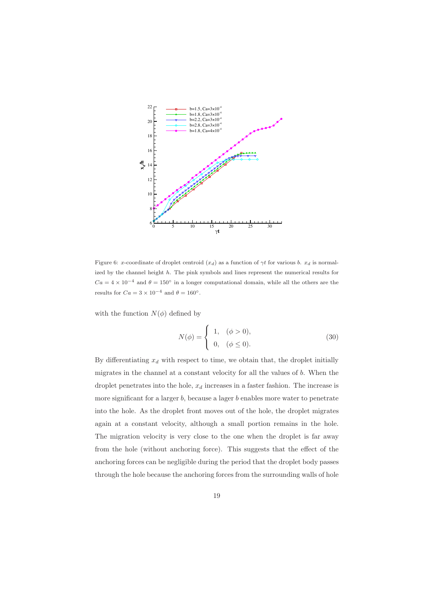

Figure 6: x-coordinate of droplet centroid  $(x_d)$  as a function of  $\gamma t$  for various b.  $x_d$  is normalized by the channel height  $h$ . The pink symbols and lines represent the numerical results for  $Ca = 4 \times 10^{-4}$  and  $\theta = 150^{\circ}$  in a longer computational domain, while all the others are the results for  $Ca = 3 \times 10^{-4}$  and  $\theta = 160^{\circ}$ .

with the function  $N(\phi)$  defined by

$$
N(\phi) = \begin{cases} 1, & (\phi > 0), \\ 0, & (\phi \le 0). \end{cases}
$$
 (30)

By differentiating  $x_d$  with respect to time, we obtain that, the droplet initially migrates in the channel at a constant velocity for all the values of b. When the droplet penetrates into the hole,  $x_d$  increases in a faster fashion. The increase is more significant for a larger  $b$ , because a lager  $b$  enables more water to penetrate into the hole. As the droplet front moves out of the hole, the droplet migrates again at a constant velocity, although a small portion remains in the hole. The migration velocity is very close to the one when the droplet is far away from the hole (without anchoring force). This suggests that the effect of the anchoring forces can be negligible during the period that the droplet body passes through the hole because the anchoring forces from the surrounding walls of hole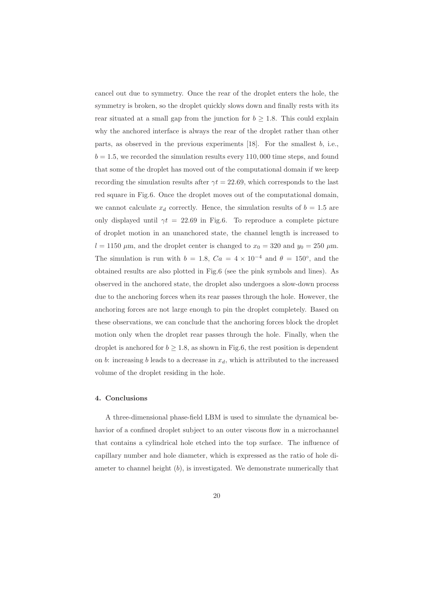cancel out due to symmetry. Once the rear of the droplet enters the hole, the symmetry is broken, so the droplet quickly slows down and finally rests with its rear situated at a small gap from the junction for  $b \geq 1.8$ . This could explain why the anchored interface is always the rear of the droplet rather than other parts, as observed in the previous experiments  $[18]$ . For the smallest b, i.e.,  $b = 1.5$ , we recorded the simulation results every 110,000 time steps, and found that some of the droplet has moved out of the computational domain if we keep recording the simulation results after  $\gamma t = 22.69$ , which corresponds to the last red square in Fig.6. Once the droplet moves out of the computational domain, we cannot calculate  $x_d$  correctly. Hence, the simulation results of  $b = 1.5$  are only displayed until  $\gamma t = 22.69$  in Fig.6. To reproduce a complete picture of droplet motion in an unanchored state, the channel length is increased to  $l = 1150 \mu m$ , and the droplet center is changed to  $x_0 = 320$  and  $y_0 = 250 \mu m$ . The simulation is run with  $b = 1.8$ ,  $Ca = 4 \times 10^{-4}$  and  $\theta = 150^{\circ}$ , and the obtained results are also plotted in Fig.6 (see the pink symbols and lines). As observed in the anchored state, the droplet also undergoes a slow-down process due to the anchoring forces when its rear passes through the hole. However, the anchoring forces are not large enough to pin the droplet completely. Based on these observations, we can conclude that the anchoring forces block the droplet motion only when the droplet rear passes through the hole. Finally, when the droplet is anchored for  $b \geq 1.8$ , as shown in Fig.6, the rest position is dependent on b: increasing b leads to a decrease in  $x<sub>d</sub>$ , which is attributed to the increased volume of the droplet residing in the hole.

#### 4. Conclusions

A three-dimensional phase-field LBM is used to simulate the dynamical behavior of a confined droplet subject to an outer viscous flow in a microchannel that contains a cylindrical hole etched into the top surface. The influence of capillary number and hole diameter, which is expressed as the ratio of hole diameter to channel height  $(b)$ , is investigated. We demonstrate numerically that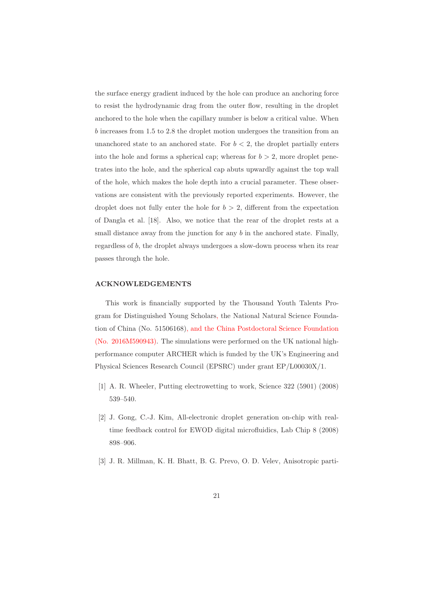the surface energy gradient induced by the hole can produce an anchoring force to resist the hydrodynamic drag from the outer flow, resulting in the droplet anchored to the hole when the capillary number is below a critical value. When b increases from 1.5 to 2.8 the droplet motion undergoes the transition from an unanchored state to an anchored state. For  $b < 2$ , the droplet partially enters into the hole and forms a spherical cap; whereas for  $b > 2$ , more droplet penetrates into the hole, and the spherical cap abuts upwardly against the top wall of the hole, which makes the hole depth into a crucial parameter. These observations are consistent with the previously reported experiments. However, the droplet does not fully enter the hole for  $b > 2$ , different from the expectation of Dangla et al. [18]. Also, we notice that the rear of the droplet rests at a small distance away from the junction for any b in the anchored state. Finally, regardless of b, the droplet always undergoes a slow-down process when its rear passes through the hole.

# ACKNOWLEDGEMENTS

This work is financially supported by the Thousand Youth Talents Program for Distinguished Young Scholars, the National Natural Science Foundation of China (No. 51506168), and the China Postdoctoral Science Foundation (No. 2016M590943). The simulations were performed on the UK national highperformance computer ARCHER which is funded by the UK's Engineering and Physical Sciences Research Council (EPSRC) under grant EP/L00030X/1.

- [1] A. R. Wheeler, Putting electrowetting to work, Science 322 (5901) (2008) 539–540.
- [2] J. Gong, C.-J. Kim, All-electronic droplet generation on-chip with realtime feedback control for EWOD digital microfluidics, Lab Chip 8 (2008) 898–906.
- [3] J. R. Millman, K. H. Bhatt, B. G. Prevo, O. D. Velev, Anisotropic parti-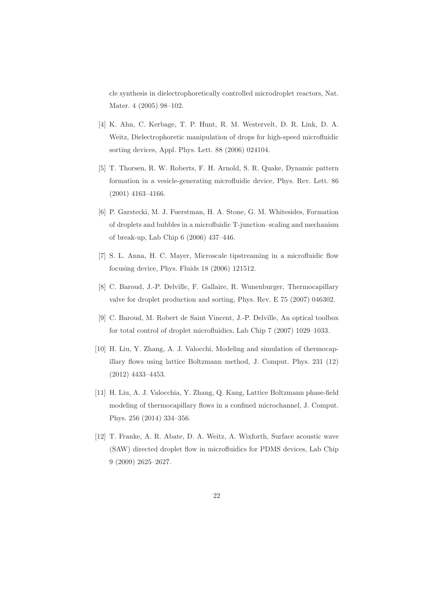cle synthesis in dielectrophoretically controlled microdroplet reactors, Nat. Mater. 4 (2005) 98–102.

- [4] K. Ahn, C. Kerbage, T. P. Hunt, R. M. Westervelt, D. R. Link, D. A. Weitz, Dielectrophoretic manipulation of drops for high-speed microfluidic sorting devices, Appl. Phys. Lett. 88 (2006) 024104.
- [5] T. Thorsen, R. W. Roberts, F. H. Arnold, S. R. Quake, Dynamic pattern formation in a vesicle-generating microfluidic device, Phys. Rev. Lett. 86 (2001) 4163–4166.
- [6] P. Garstecki, M. J. Fuerstman, H. A. Stone, G. M. Whitesides, Formation of droplets and bubbles in a microfluidic T-junction–scaling and mechanism of break-up, Lab Chip 6 (2006) 437–446.
- [7] S. L. Anna, H. C. Mayer, Microscale tipstreaming in a microfluidic flow focusing device, Phys. Fluids 18 (2006) 121512.
- [8] C. Baroud, J.-P. Delville, F. Gallaire, R. Wunenburger, Thermocapillary valve for droplet production and sorting, Phys. Rev. E 75 (2007) 046302.
- [9] C. Baroud, M. Robert de Saint Vincent, J.-P. Delville, An optical toolbox for total control of droplet microfluidics, Lab Chip 7 (2007) 1029–1033.
- [10] H. Liu, Y. Zhang, A. J. Valocchi, Modeling and simulation of thermocapillary flows using lattice Boltzmann method, J. Comput. Phys. 231 (12) (2012) 4433–4453.
- [11] H. Liu, A. J. Valocchia, Y. Zhang, Q. Kang, Lattice Boltzmann phase-field modeling of thermocapillary flows in a confined microchannel, J. Comput. Phys. 256 (2014) 334–356.
- [12] T. Franke, A. R. Abate, D. A. Weitz, A. Wixforth, Surface acoustic wave (SAW) directed droplet flow in microfluidics for PDMS devices, Lab Chip 9 (2009) 2625–2627.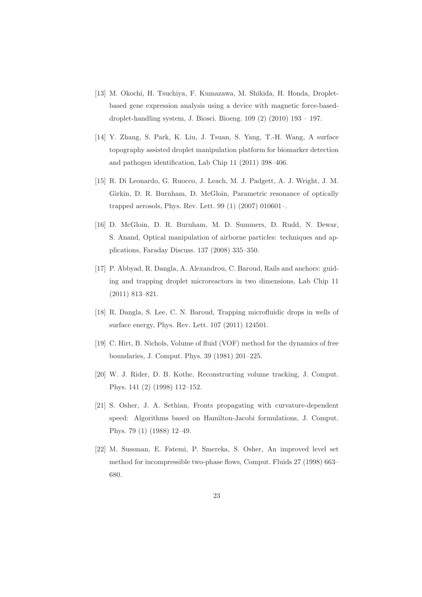- [13] M. Okochi, H. Tsuchiya, F. Kumazawa, M. Shikida, H. Honda, Dropletbased gene expression analysis using a device with magnetic force-baseddroplet-handling system, J. Biosci. Bioeng. 109 (2) (2010) 193 – 197.
- [14] Y. Zhang, S. Park, K. Liu, J. Tsuan, S. Yang, T.-H. Wang, A surface topography assisted droplet manipulation platform for biomarker detection and pathogen identification, Lab Chip 11 (2011) 398–406.
- [15] R. Di Leonardo, G. Ruocco, J. Leach, M. J. Padgett, A. J. Wright, J. M. Girkin, D. R. Burnham, D. McGloin, Parametric resonance of optically trapped aerosols, Phys. Rev. Lett. 99 (1) (2007) 010601–.
- [16] D. McGloin, D. R. Burnham, M. D. Summers, D. Rudd, N. Dewar, S. Anand, Optical manipulation of airborne particles: techniques and applications, Faraday Discuss. 137 (2008) 335–350.
- [17] P. Abbyad, R. Dangla, A. Alexandrou, C. Baroud, Rails and anchors: guiding and trapping droplet microreactors in two dimensions, Lab Chip 11 (2011) 813–821.
- [18] R. Dangla, S. Lee, C. N. Baroud, Trapping microfluidic drops in wells of surface energy, Phys. Rev. Lett. 107 (2011) 124501.
- [19] C. Hirt, B. Nichols, Volume of fluid (VOF) method for the dynamics of free boundaries, J. Comput. Phys. 39 (1981) 201–225.
- [20] W. J. Rider, D. B. Kothe, Reconstructing volume tracking, J. Comput. Phys. 141 (2) (1998) 112–152.
- [21] S. Osher, J. A. Sethian, Fronts propagating with curvature-dependent speed: Algorithms based on Hamilton-Jacobi formulations, J. Comput. Phys. 79 (1) (1988) 12–49.
- [22] M. Sussman, E. Fatemi, P. Smereka, S. Osher, An improved level set method for incompressible two-phase flows, Comput. Fluids 27 (1998) 663– 680.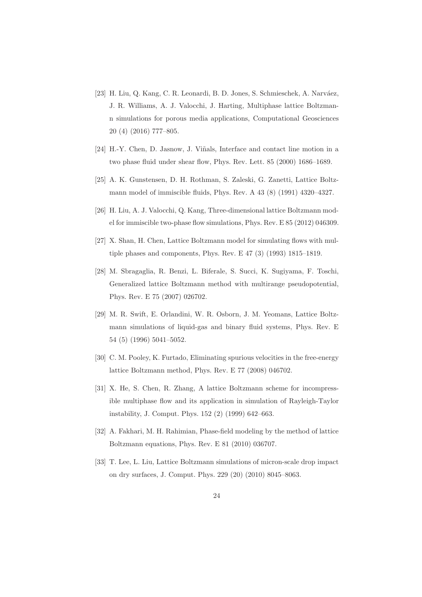- [23] H. Liu, Q. Kang, C. R. Leonardi, B. D. Jones, S. Schmieschek, A. Narváez, J. R. Williams, A. J. Valocchi, J. Harting, Multiphase lattice Boltzmann simulations for porous media applications, Computational Geosciences 20 (4) (2016) 777–805.
- [24] H.-Y. Chen, D. Jasnow, J. Viñals, Interface and contact line motion in a two phase fluid under shear flow, Phys. Rev. Lett. 85 (2000) 1686–1689.
- [25] A. K. Gunstensen, D. H. Rothman, S. Zaleski, G. Zanetti, Lattice Boltzmann model of immiscible fluids, Phys. Rev. A 43 (8) (1991) 4320–4327.
- [26] H. Liu, A. J. Valocchi, Q. Kang, Three-dimensional lattice Boltzmann model for immiscible two-phase flow simulations, Phys. Rev. E 85 (2012) 046309.
- [27] X. Shan, H. Chen, Lattice Boltzmann model for simulating flows with multiple phases and components, Phys. Rev. E 47 (3) (1993) 1815–1819.
- [28] M. Sbragaglia, R. Benzi, L. Biferale, S. Succi, K. Sugiyama, F. Toschi, Generalized lattice Boltzmann method with multirange pseudopotential, Phys. Rev. E 75 (2007) 026702.
- [29] M. R. Swift, E. Orlandini, W. R. Osborn, J. M. Yeomans, Lattice Boltzmann simulations of liquid-gas and binary fluid systems, Phys. Rev. E 54 (5) (1996) 5041–5052.
- [30] C. M. Pooley, K. Furtado, Eliminating spurious velocities in the free-energy lattice Boltzmann method, Phys. Rev. E 77 (2008) 046702.
- [31] X. He, S. Chen, R. Zhang, A lattice Boltzmann scheme for incompressible multiphase flow and its application in simulation of Rayleigh-Taylor instability, J. Comput. Phys. 152 (2) (1999) 642–663.
- [32] A. Fakhari, M. H. Rahimian, Phase-field modeling by the method of lattice Boltzmann equations, Phys. Rev. E 81 (2010) 036707.
- [33] T. Lee, L. Liu, Lattice Boltzmann simulations of micron-scale drop impact on dry surfaces, J. Comput. Phys. 229 (20) (2010) 8045–8063.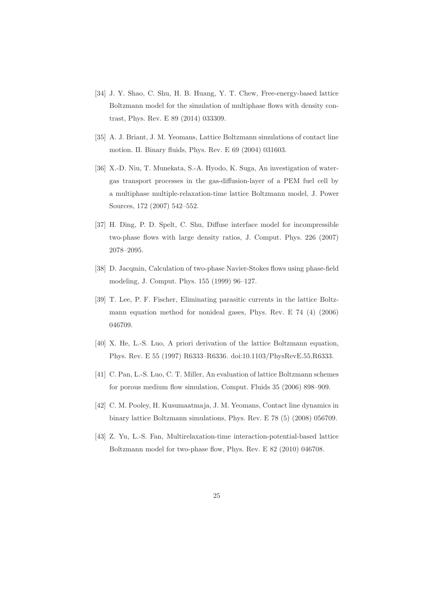- [34] J. Y. Shao, C. Shu, H. B. Huang, Y. T. Chew, Free-energy-based lattice Boltzmann model for the simulation of multiphase flows with density contrast, Phys. Rev. E 89 (2014) 033309.
- [35] A. J. Briant, J. M. Yeomans, Lattice Boltzmann simulations of contact line motion. II. Binary fluids, Phys. Rev. E 69 (2004) 031603.
- [36] X.-D. Niu, T. Munekata, S.-A. Hyodo, K. Suga, An investigation of watergas transport processes in the gas-diffusion-layer of a PEM fuel cell by a multiphase multiple-relaxation-time lattice Boltzmann model, J. Power Sources, 172 (2007) 542–552.
- [37] H. Ding, P. D. Spelt, C. Shu, Diffuse interface model for incompressible two-phase flows with large density ratios, J. Comput. Phys. 226 (2007) 2078–2095.
- [38] D. Jacqmin, Calculation of two-phase Navier-Stokes flows using phase-field modeling, J. Comput. Phys. 155 (1999) 96–127.
- [39] T. Lee, P. F. Fischer, Eliminating parasitic currents in the lattice Boltzmann equation method for nonideal gases, Phys. Rev. E 74 (4) (2006) 046709.
- [40] X. He, L.-S. Luo, A priori derivation of the lattice Boltzmann equation, Phys. Rev. E 55 (1997) R6333–R6336. doi:10.1103/PhysRevE.55.R6333.
- [41] C. Pan, L.-S. Luo, C. T. Miller, An evaluation of lattice Boltzmann schemes for porous medium flow simulation, Comput. Fluids 35 (2006) 898–909.
- [42] C. M. Pooley, H. Kusumaatmaja, J. M. Yeomans, Contact line dynamics in binary lattice Boltzmann simulations, Phys. Rev. E 78 (5) (2008) 056709.
- [43] Z. Yu, L.-S. Fan, Multirelaxation-time interaction-potential-based lattice Boltzmann model for two-phase flow, Phys. Rev. E 82 (2010) 046708.